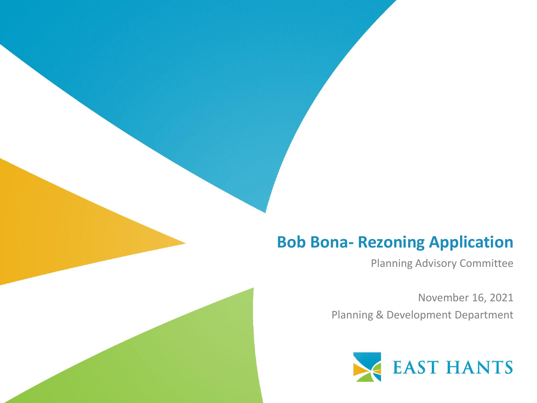### **Bob Bona- Rezoning Application**

Planning Advisory Committee

November 16, 2021 Planning & Development Department

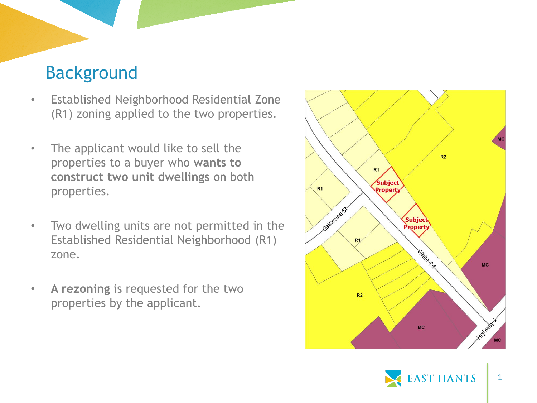## Background

- Established Neighborhood Residential Zone (R1) zoning applied to the two properties.
- The applicant would like to sell the properties to a buyer who **wants to construct two unit dwellings** on both properties.
- Two dwelling units are not permitted in the Established Residential Neighborhood (R1) zone.
- **A rezoning** is requested for the two properties by the applicant.



1

**AST HANTS**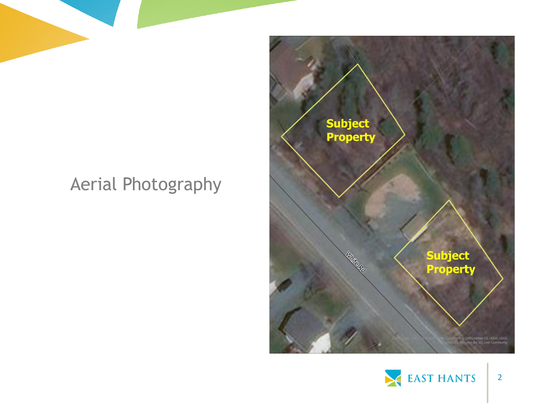## Aerial Photography



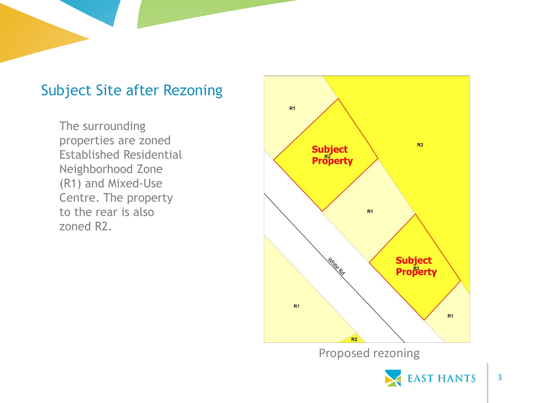#### Subject Site after Rezoning

The surrounding properties are zoned Established Residential Neighborhood Zone (R1) and Mixed-Use Centre. The property to the rear is also zoned R2.



Proposed rezoning

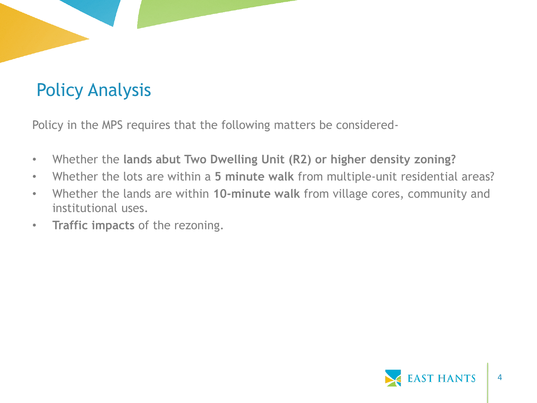# Policy Analysis

Policy in the MPS requires that the following matters be considered-

- Whether the **lands abut Two Dwelling Unit (R2) or higher density zoning?**
- Whether the lots are within a **5 minute walk** from multiple-unit residential areas?
- Whether the lands are within **10-minute walk** from village cores, community and institutional uses.
- **Traffic impacts** of the rezoning.

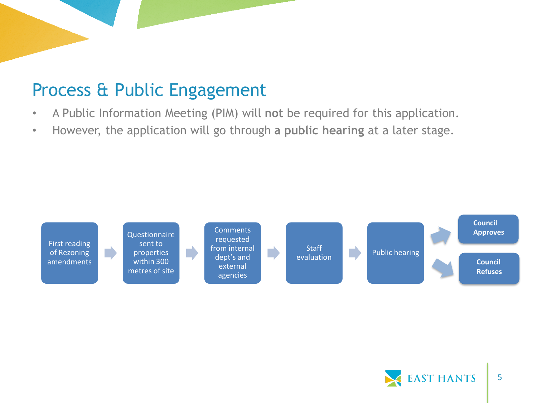## Process & Public Engagement

- A Public Information Meeting (PIM) will **not** be required for this application.
- However, the application will go through **a public hearing** at a later stage.